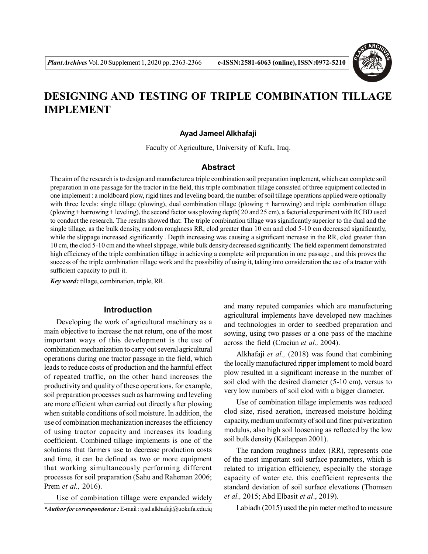

# **DESIGNING AND TESTING OF TRIPLE COMBINATION TILLAGE IMPLEMENT**

### **Ayad Jameel Alkhafaji**

Faculty of Agriculture, University of Kufa, Iraq.

## **Abstract**

The aim of the research is to design and manufacture a triple combination soil preparation implement, which can complete soil preparation in one passage for the tractor in the field, this triple combination tillage consisted of three equipment collected in one implement : a moldboard plow, rigid tines and leveling board, the number of soil tillage operations applied were optionally with three levels: single tillage (plowing), dual combination tillage (plowing + harrowing) and triple combination tillage (plowing + harrowing + leveling), the second factor was plowing depth( 20 and 25 cm), a factorial experiment with RCBD used to conduct the research. The results showed that: The triple combination tillage was significantly superior to the dual and the single tillage, as the bulk density, random roughness RR, clod greater than 10 cm and clod 5-10 cm decreased significantly, while the slippage increased significantly. Depth increasing was causing a significant increase in the RR, clod greater than 10 cm, the clod 5-10 cm and the wheel slippage, while bulk density decreased significantly. The field experiment demonstrated high efficiency of the triple combination tillage in achieving a complete soil preparation in one passage , and this proves the success of the triple combination tillage work and the possibility of using it, taking into consideration the use of a tractor with sufficient capacity to pull it.

*Key word:* tillage, combination, triple, RR.

## **Introduction**

Developing the work of agricultural machinery as a main objective to increase the net return, one of the most important ways of this development is the use of combination mechanization to carry out several agricultural operations during one tractor passage in the field, which leads to reduce costs of production and the harmful effect of repeated traffic, on the other hand increases the productivity and quality of these operations, for example, soil preparation processes such as harrowing and leveling are more efficient when carried out directly after plowing when suitable conditions of soil moisture. In addition, the use of combination mechanization increases the efficiency of using tractor capacity and increases its loading coefficient. Combined tillage implements is one of the solutions that farmers use to decrease production costs and time, it can be defined as two or more equipment that working simultaneously performing different processes for soil preparation (Sahu and Raheman 2006; Prem *et al.,* 2016).

Use of combination tillage were expanded widely *\*Author for correspondence :* E-mail : iyad.alkhafaji@uokufa.edu.iq and many reputed companies which are manufacturing agricultural implements have developed new machines and technologies in order to seedbed preparation and sowing, using two passes or a one pass of the machine across the field (Craciun *et al.,* 2004).

Alkhafaji *et al.,* (2018) was found that combining the locally manufactured ripper implement to mold board plow resulted in a significant increase in the number of soil clod with the desired diameter (5-10 cm), versus to very low numbers of soil clod with a bigger diameter.

Use of combination tillage implements was reduced clod size, rised aeration, increased moisture holding capacity, medium uniformity of soil and finer pulverization modulus, also high soil loosening as reflected by the low soil bulk density (Kailappan 2001).

The random roughness index (RR), represents one of the most important soil surface parameters, which is related to irrigation efficiency, especially the storage capacity of water etc. this coefficient represents the standard deviation of soil surface elevations (Thomsen *et al.,* 2015; Abd Elbasit *et al*., 2019).

Labiadh (2015) used the pin meter method to measure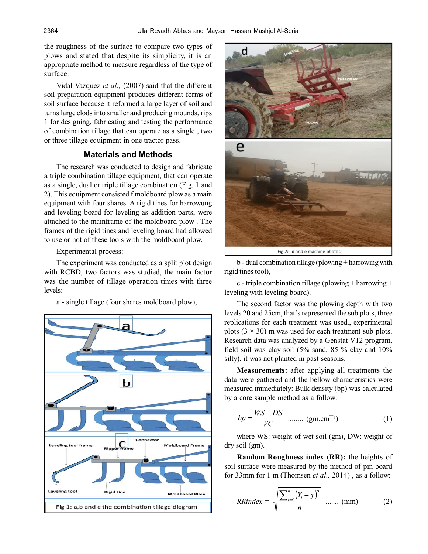the roughness of the surface to compare two types of plows and stated that despite its simplicity, it is an appropriate method to measure regardless of the type of surface.

Vidal Vazquez *et al.,* (2007) said that the different soil preparation equipment produces different forms of soil surface because it reformed a large layer of soil and turns large clods into smaller and producing mounds, rips 1 for designing, fabricating and testing the performance of combination tillage that can operate as a single , two or three tillage equipment in one tractor pass.

# **Materials and Methods**

The research was conducted to design and fabricate a triple combination tillage equipment, that can operate as a single, dual or triple tillage combination (Fig. 1 and 2). This equipment consisted f moldboard plow as a main equipment with four shares. A rigid tines for harrowung and leveling board for leveling as addition parts, were attached to the mainframe of the moldboard plow . The frames of the rigid tines and leveling board had allowed to use or not of these tools with the moldboard plow.

Experimental process:

The experiment was conducted as a split plot design with RCBD, two factors was studied, the main factor was the number of tillage operation times with three levels:

a - single tillage (four shares moldboard plow),





Fig 2: d and e machine photos

b - dual combination tillage (plowing + harrowing with rigid tines tool),

c - triple combination tillage (plowing + harrowing + leveling with leveling board).

The second factor was the plowing depth with two levels 20 and 25cm, that's represented the sub plots, three replications for each treatment was used., experimental plots  $(3 \times 30)$  m was used for each treatment sub plots. Research data was analyzed by a Genstat V12 program, field soil was clay soil (5% sand, 85 % clay and 10% silty), it was not planted in past seasons.

**Measurements:** after applying all treatments the data were gathered and the bellow characteristics were measured immediately: Bulk density (bp) was calculated by a core sample method as a follow:

$$
bp = \frac{WS - DS}{VC} \quad \dots \dots \quad (gm.cm^{-3})
$$
 (1)

where WS: weight of wet soil (gm), DW: weight of dry soil (gm).

**Random Roughness index (RR):** the heights of soil surface were measured by the method of pin board for 33mm for 1 m (Thomsen *et al.,* 2014) , as a follow:

$$
R\text{Rindex} = \sqrt{\frac{\sum_{i=0}^{n} (Y_i - \bar{y})^2}{n}}
$$
 ...... (mm) (2)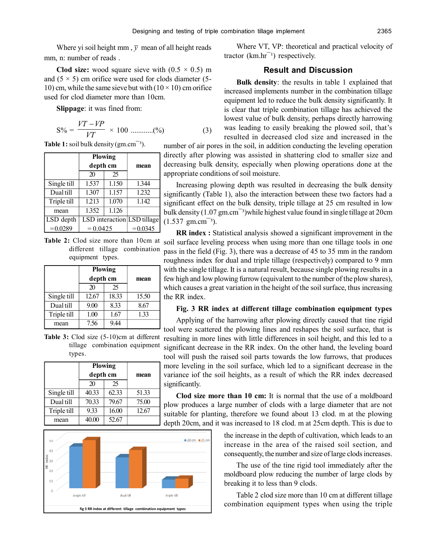Where yi soil height mm,  $\bar{y}$  mean of all height reads mm, n: number of reads .

**Clod size:** wood square sieve with  $(0.5 \times 0.5)$  m and  $(5 \times 5)$  cm orifice were used for clods diameter (5-10) cm, while the same sieve but with  $(10 \times 10)$  cm orifice used for clod diameter more than 10cm.

**Slippage**: it was fined from:

$$
S\% = \frac{VT - VP}{VT} \times 100 \dots \dots \dots \dots (%) \tag{3}
$$

**Table 1:** soil bulk density 
$$
(gm.cm^{-3})
$$
.

|             | <b>Plowing</b><br>depth cm  |       | mean       |  |
|-------------|-----------------------------|-------|------------|--|
|             | 20                          | 25    |            |  |
| Single till | 1.537                       | 1.150 | 1.344      |  |
| Dual till   | 1.307                       | 1.157 | 1.232      |  |
| Triple till | 1.213                       | 1.070 | 1.142      |  |
| mean        | 1.352                       | 1.126 |            |  |
| LSD depth   | LSD interaction LSD tillage |       |            |  |
| $= 0.0289$  | $= 0.0425$                  |       | $= 0.0345$ |  |

**Table 2:** Clod size more than 10cm at different tillage combination equipment types.

|             | <b>Plowing</b> |       |       |  |
|-------------|----------------|-------|-------|--|
|             | depth cm       |       | mean  |  |
|             | 20             | 25    |       |  |
| Single till | 12.67          | 18.33 | 15.50 |  |
| Dual till   | 9.00           | 8.33  | 8.67  |  |
| Triple till | 1.00           | 1.67  | 1.33  |  |
| mean        | 7.56           | 944   |       |  |

**Table 3:** Clod size  $(5-10)$ cm at different tillage combination equipment types.

|             | <b>Plowing</b><br>depth cm |       |       |  |
|-------------|----------------------------|-------|-------|--|
|             |                            |       | mean  |  |
|             | 20                         | 25    |       |  |
| Single till | 40.33                      | 62.33 | 51.33 |  |
| Dual till   | 70.33                      | 79.67 | 75.00 |  |
| Triple till | 9.33                       | 16.00 | 12.67 |  |
| mean        | 40.00                      | 52.67 |       |  |



Where VT, VP: theoretical and practical velocity of tractor  $(km/hr^{-1})$  respectively.

# **Result and Discussion**

**Bulk density**: the results in table 1 explained that increased implements number in the combination tillage equipment led to reduce the bulk density significantly. It is clear that triple combination tillage has achieved the lowest value of bulk density, perhaps directly harrowing was leading to easily breaking the plowed soil, that's resulted in decreased clod size and increased in the

number of air pores in the soil, in addition conducting the leveling operation directly after plowing was assisted in shattering clod to smaller size and decreasing bulk density, especially when plowing operations done at the appropriate conditions of soil moisture.

Increasing plowing depth was resulted in decreasing the bulk density significantly (Table 1), also the interaction between these two factors had a significant effect on the bulk density, triple tillage at 25 cm resulted in low bulk density  $(1.07 \text{ gm.cm}^{-3})$  while highest value found in single tillage at 20cm  $(1.537 \text{ gm.cm}^{-3})$ .

**RR index :** Statistical analysis showed a significant improvement in the soil surface leveling process when using more than one tillage tools in one pass in the field (Fig. 3), there was a decrease of 45 to 35 mm in the random roughness index for dual and triple tillage (respectively) compared to 9 mm with the single tillage. It is a natural result, because single plowing results in a few high and low plowing furrow (equivalent to the number of the plow shares), which causes a great variation in the height of the soil surface, thus increasing the RR index.

#### **Fig. 3 RR index at different tillage combination equipment types**

Applying of the harrowing after plowing directly caused that tine rigid tool were scattered the plowing lines and reshapes the soil surface, that is resulting in more lines with little differences in soil height, and this led to a significant decrease in the RR index. On the other hand, the leveling board tool will push the raised soil parts towards the low furrows, that produces more leveling in the soil surface, which led to a significant decrease in the ariance iof the soil heights, as a result of which the RR index decreased ignificantly.

**Clod size more than 10 cm:** It is normal that the use of a moldboard low produces a large number of clods with a large diameter that are not uitable for planting, therefore we found about 13 clod. m at the plowing epth 20cm, and it was increased to 18 clod. m at 25cm depth. This is due to

> the increase in the depth of cultivation, which leads to an increase in the area of the raised soil section, and consequently, the number and size of large clods increases.

> The use of the tine rigid tool immediately after the moldboard plow reducing the number of large clods by breaking it to less than 9 clods.

> Table 2 clod size more than 10 cm at different tillage combination equipment types when using the triple